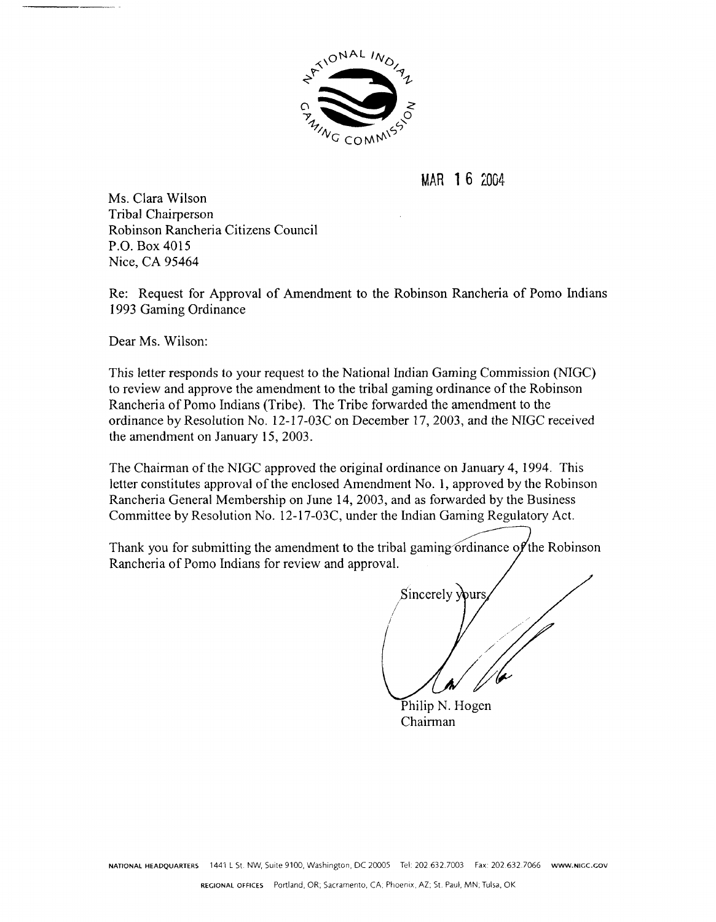

MAR 16 2004

Ms. Clara Wilson Tribal Chairperson Robinson Rancheria Citizens Council P.O. Box 4015 Nice, CA 95464

Re: Request for Approval of Amendment to the Robinson Rancheria of Pomo Indians 1993 Gaming Ordinance

Dear Ms. Wilson:

This letter responds to your request to the National Indian Gaming Commission (NIGC) to review and approve the amendment to the tribal gaming ordinance of the Robinson Rancheria of Pomo Indians (Tribe). The Tribe forwarded the amendment to the ordinance by Resolution No. 12-17-03C on December 17, 2003, and the NIGC received the amendment on January 15, 2003.

The Chairman of the NIGC approved the original ordinance on January 4, 1994. This letter constitutes approval of the enclosed Amendment No. 1, approved by the Robinson Rancheria General Membership on June 14, 2003, and as forwarded by the Business Committee by Resolution No. 12-17-03C, under the Indian Gaming Regulatory Act.

Thank you for submitting the amendment to the tribal gaming ordinance of the Robinson Rancheria of Pomo Indians for review and approval.

Sincerely yours Philip N. Hogen

Chairman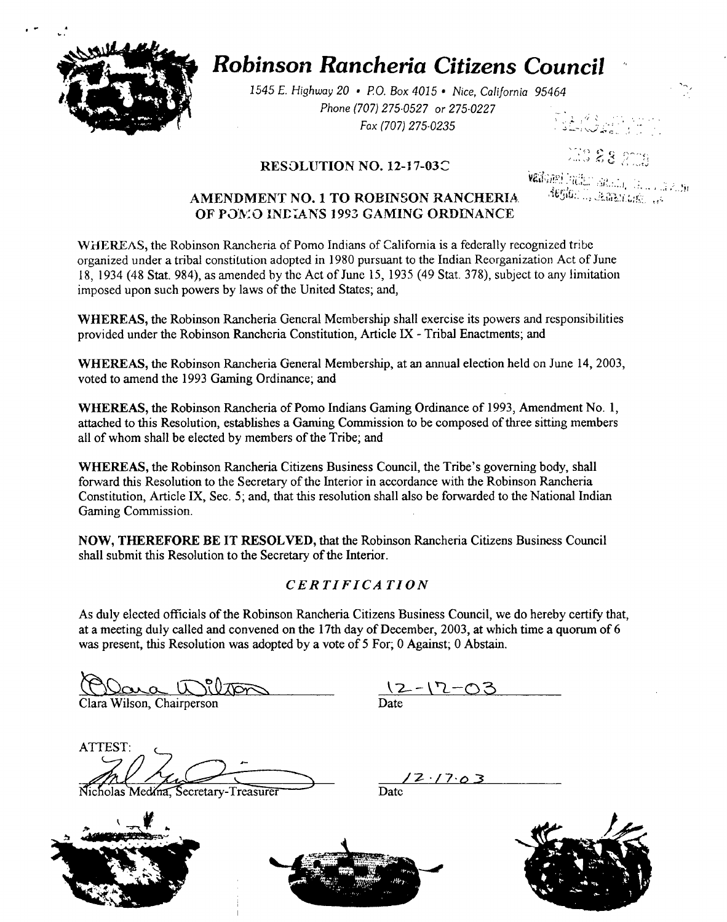

# **Robinson Rancheria Citizens Council**

**1545 E. Highway 20 P.O. Box 4015 Nice, California 95464 Phone (707) 275-0527 or 275-0227 Fax (707) 275-0235**

RAKA ILI

**RESOLUTION NO. 12-17-03C**

 $2.323 \pm 2$ 

## **AMENDMENT NO. 1 TO ROBINSON RANCHERIA OF P31~O 1.NEIANS <sup>1993</sup> GAMING ORDINANCE**

**WHEREAS, the Robinson Rancheria of Porno Indians of California is <sup>a</sup> federally recognized tribe organized under a tribal constitution adopted in 1980 pursuant to the Indian Reorganization Act of June** 18, 1934 (48 Stat. 984), as amended by the Act of June 15, 1935 (49 Stat. 378), subject to any limitation **imposed upon such powers by laws of the United States; and,**

**WHEREAS, the Robinson Rancheria General Membership shall exercise its powers and responsibilities provided under the Robinson Rancheria Constitution, Article IX - Tribal Enactments; and**

**WHEREAS, the Robinson Rancheria General Membership, at an annual election held on June 14, 2003, voted to amend the 1993 Gaming Ordinance; and**

**WHEREAS, the Robinson Rancheria of Porno Indians Gaming Ordinance of 1993, Amendment No. 1, attached to this Resolution, establishes a Gaming Commission to be composed of three sitting members all of whom shall be elected by members of the Tribe; and**

**WHEREAS, the Robinson Rancheria Citizens Business Council, the Tribe's governing body, shall forward this Resolution to the Secretary of the Interior in accordance with the Robinson Rancheria** Constitution, Article IX, Sec. 5; and, that this resolution shall also be forwarded to the National Indian **Gaming Commission.**

**NOW, THEREFORE BE IT RESOLVED, that the Robinson Rancheria Citizens Business Council shall submit this Resolution to the Secretary of the Interior.**

## **CERTIFICATION**

**As duly elected officials of the Robinson Rancheria Citizens Business Council, we do hereby certify that,** at a meeting duly called and convened on the 17th day of December, 2003, at which time a quorum of 6 **was present, this Resolution was adopted by a vote of 5 For; 0 Against; 0 Abstain.**

 $12 - 12 - 03$ <br>Date

 $7.1703$ 

**Clara Wilson, Chairperson**

**ATTEST:**

cholas Medina, Secretary-Treasurer





**Date**



**~a~~i~ <sup>k</sup> ~-.: : . .**